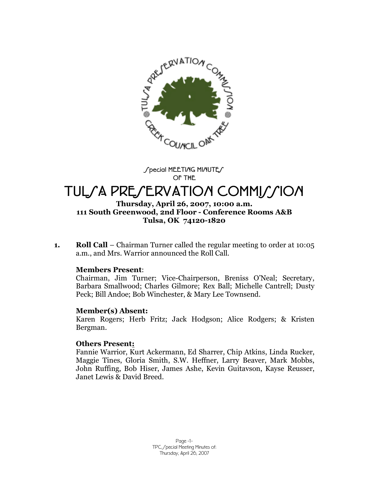

Special MEETIAG MIAUTES **OF THE**

# TUL/A PRE/ERVATION COMMI*MI*ON

#### **Thursday, April 26, 2007, 10:00 a.m. 111 South Greenwood, 2nd Floor - Conference Rooms A&B Tulsa, OK 74120-1820**

**1. Roll Call** –Chairman Turner called the regular meeting to order at 10:05 a.m., and Mrs. Warrior announced the Roll Call.

#### **Members Present**:

Chairman, Jim Turner; Vice-Chairperson, Breniss O'Neal; Secretary, Barbara Smallwood; Charles Gilmore; Rex Ball; Michelle Cantrell; Dusty Peck; Bill Andoe; Bob Winchester, & Mary Lee Townsend.

#### **Member(s) Absent:**

Karen Rogers; Herb Fritz; Jack Hodgson; Alice Rodgers; & Kristen Bergman.

#### **Others Present:**

Fannie Warrior, Kurt Ackermann, Ed Sharrer, Chip Atkins, Linda Rucker, Maggie Tines, Gloria Smith, S.W. Heffner, Larry Beaver, Mark Mobbs, John Ruffing, Bob Hiser, James Ashe, Kevin Guitavson, Kayse Reusser, Janet Lewis & David Breed.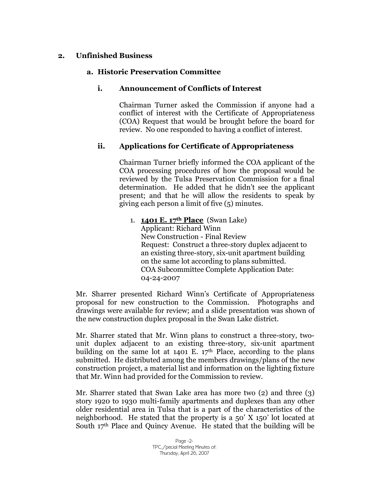# **2. Unfinished Business**

## **a. Historic Preservation Committee**

## **i. Announcement of Conflicts of Interest**

Chairman Turner asked the Commission if anyone had a conflict of interest with the Certificate of Appropriateness (COA) Request that would be brought before the board for review. No one responded to having a conflict of interest.

# **ii. Applications for Certificate of Appropriateness**

Chairman Turner briefly informed the COA applicant of the COA processing procedures of how the proposal would be reviewed by the Tulsa Preservation Commission for a final determination. He added that he didn't see the applicant present; and that he will allow the residents to speak by giving each person a limit of five (5) minutes.

1. **1401 E. 17th Place** (Swan Lake) Applicant: Richard Winn New Construction - Final Review Request: Construct a three-story duplex adjacent to an existing three-story, six-unit apartment building on the same lot according to plans submitted. COA Subcommittee Complete Application Date: 04-24-2007

Mr. Sharrer presented Richard Winn's Certificate of Appropriateness proposal for new construction to the Commission. Photographs and drawings were available for review; and a slide presentation was shown of the new construction duplex proposal in the Swan Lake district.

Mr. Sharrer stated that Mr. Winn plans to construct a three-story, twounit duplex adjacent to an existing three-story, six-unit apartment building on the same lot at  $1401$  E.  $17<sup>th</sup>$  Place, according to the plans submitted. He distributed among the members drawings/plans of the new construction project, a material list and information on the lighting fixture that Mr. Winn had provided for the Commission to review.

Mr. Sharrer stated that Swan Lake area has more two (2) and three (3) story 1920 to 1930 multi-family apartments and duplexes than any other older residential area in Tulsa that is a part of the characteristics of the neighborhood. He stated that the property is a 50' X 150' lot located at South  $17<sup>th</sup>$  Place and Quincy Avenue. He stated that the building will be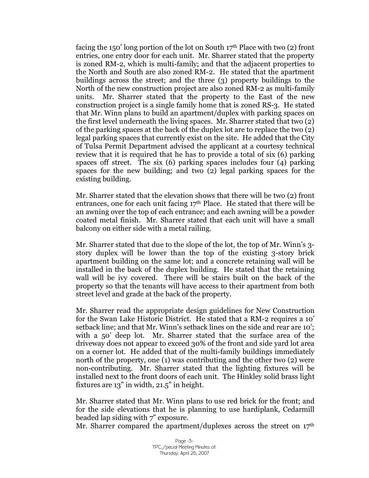facing the 150' long portion of the lot on South 17<sup>th</sup> Place with two  $(2)$  front entries, one entry door for each unit. Mr. Sharrer stated that the property is zoned RM-2, which is multi-family; and that the adjacent properties to the North and South are also zoned RM-2. He stated that the apartment buildings across the street; and the three (3) property buildings to the North of the new construction project are also zoned RM-2 as multi-family units. Mr. Sharrer stated that the property to the East of the new construction project is a single family home that is zoned RS-3. He stated that Mr. Winn plans to build an apartment/duplex with parking spaces on the first level underneath the living spaces. Mr. Sharrer stated that two (2) of the parking spaces at the back of the duplex lot are to replace the two (2) legal parking spaces that currently exist on the site. He added that the City of Tulsa Permit Department advised the applicant at a courtesy technical review that it is required that he has to provide a total of six (6) parking spaces off street. The six (6) parking spaces includes four (4) parking spaces for the new building; and two (2) legal parking spaces for the existing building.

Mr. Sharrer stated that the elevation shows that there will be two (2) front entrances, one for each unit facing  $17<sup>th</sup>$  Place. He stated that there will be an awning over the top of each entrance; and each awning will be a powder coated metal finish. Mr. Sharrer stated that each unit will have a small balcony on either side with a metal railing.

Mr. Sharrer stated that due to the slope of the lot, the top of Mr. Winn's 3 story duplex will be lower than the top of the existing 3-story brick apartment building on the same lot; and a concrete retaining wall will be installed in the back of the duplex building. He stated that the retaining wall will be ivy covered. There will be stairs built on the back of the property so that the tenants will have access to their apartment from both street level and grade at the back of the property.

Mr. Sharrer read the appropriate design guidelines for New Construction for the Swan Lake Historic District. He stated that a RM-2 requires a 10' setback line; and that Mr. Winn's setback lines on the side and rear are 10'; with a 50' deep lot. Mr. Sharrer stated that the surface area of the driveway does not appear to exceed 30% of the front and side yard lot area on a corner lot. He added that of the multi-family buildings immediately north of the property, one (1) was contributing and the other two (2) were non-contributing. Mr. Sharrer stated that the lighting fixtures will be installed next to the front doors of each unit. The Hinkley solid brass light fixtures are 13" in width, 21.5" in height.

Mr. Sharrer stated that Mr. Winn plans to use red brick for the front; and for the side elevations that he is planning to use hardiplank, Cedarmill beaded lap siding with 7" exposure.

Mr. Sharrer compared the apartment/duplexes across the street on  $17<sup>th</sup>$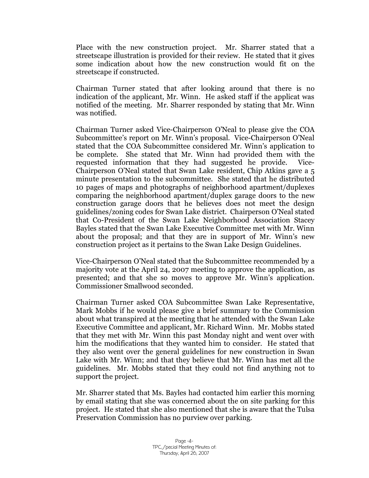Place with the new construction project. Mr. Sharrer stated that a streetscape illustration is provided for their review. He stated that it gives some indication about how the new construction would fit on the streetscape if constructed.

Chairman Turner stated that after looking around that there is no indication of the applicant, Mr. Winn. He asked staff if the applicat was notified of the meeting. Mr. Sharrer responded by stating that Mr. Winn was notified.

Chairman Turner asked Vice-Chairperson O'Neal to please give the COA Subcommittee's report on Mr. Winn's proposal. Vice-Chairperson O'Neal stated that the COA Subcommittee considered Mr. Winn's application to be complete. She stated that Mr. Winn had provided them with the requested information that they had suggested he provide. Vice-Chairperson O'Neal stated that Swan Lake resident, Chip Atkins gave a 5 minute presentation to the subcommittee. She stated that he distributed 10 pages of maps and photographs of neighborhood apartment/duplexes comparing the neighborhood apartment/duplex garage doors to the new construction garage doors that he believes does not meet the design guidelines/zoning codes for Swan Lake district. Chairperson O'Neal stated that Co-President of the Swan Lake Neighborhood Association Stacey Bayles stated that the Swan Lake Executive Committee met with Mr. Winn about the proposal; and that they are in support of Mr. Winn's new construction project as it pertains to the Swan Lake Design Guidelines.

Vice-Chairperson O'Neal stated that the Subcommittee recommended by a majority vote at the April 24, 2007 meeting to approve the application, as presented; and that she so moves to approve Mr. Winn's application. Commissioner Smallwood seconded.

Chairman Turner asked COA Subcommittee Swan Lake Representative, Mark Mobbs if he would please give a brief summary to the Commission about what transpired at the meeting that he attended with the Swan Lake Executive Committee and applicant, Mr. Richard Winn. Mr. Mobbs stated that they met with Mr. Winn this past Monday night and went over with him the modifications that they wanted him to consider. He stated that they also went over the general guidelines for new construction in Swan Lake with Mr. Winn; and that they believe that Mr. Winn has met all the guidelines. Mr. Mobbs stated that they could not find anything not to support the project.

Mr. Sharrer stated that Ms. Bayles had contacted him earlier this morning by email stating that she was concerned about the on site parking for this project. He stated that she also mentioned that she is aware that the Tulsa Preservation Commission has no purview over parking.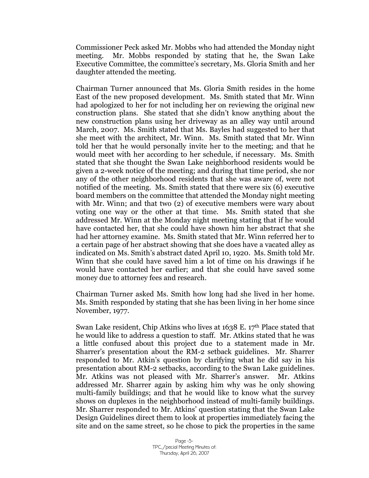Commissioner Peck asked Mr. Mobbs who had attended the Monday night meeting. Mr. Mobbs responded by stating that he, the Swan Lake Executive Committee, the committee's secretary, Ms. Gloria Smith and her daughter attended the meeting.

Chairman Turner announced that Ms. Gloria Smith resides in the home East of the new proposed development. Ms. Smith stated that Mr. Winn had apologized to her for not including her on reviewing the original new construction plans. She stated that she didn't know anything about the new construction plans using her driveway as an alley way until around March, 2007. Ms. Smith stated that Ms. Bayles had suggested to her that she meet with the architect, Mr. Winn. Ms. Smith stated that Mr. Winn told her that he would personally invite her to the meeting; and that he would meet with her according to her schedule, if necessary. Ms. Smith stated that she thought the Swan Lake neighborhood residents would be given a 2-week notice of the meeting; and during that time period, she nor any of the other neighborhood residents that she was aware of, were not notified of the meeting. Ms. Smith stated that there were six (6) executive board members on the committee that attended the Monday night meeting with Mr. Winn; and that two (2) of executive members were wary about voting one way or the other at that time. Ms. Smith stated that she addressed Mr. Winn at the Monday night meeting stating that if he would have contacted her, that she could have shown him her abstract that she had her attorney examine. Ms. Smith stated that Mr. Winn referred her to a certain page of her abstract showing that she does have a vacated alley as indicated on Ms. Smith's abstract dated April 10, 1920. Ms. Smith told Mr. Winn that she could have saved him a lot of time on his drawings if he would have contacted her earlier; and that she could have saved some money due to attorney fees and research.

Chairman Turner asked Ms. Smith how long had she lived in her home. Ms. Smith responded by stating that she has been living in her home since November, 1977.

Swan Lake resident, Chip Atkins who lives at  $1638$  E.  $17<sup>th</sup>$  Place stated that he would like to address a question to staff. Mr. Atkins stated that he was a little confused about this project due to a statement made in Mr. Sharrer's presentation about the RM-2 setback guidelines. Mr. Sharrer responded to Mr. Atkin's question by clarifying what he did say in his presentation about RM-2 setbacks, according to the Swan Lake guidelines. Mr. Atkins was not pleased with Mr. Sharrer's answer. Mr. Atkins addressed Mr. Sharrer again by asking him why was he only showing multi-family buildings; and that he would like to know what the survey shows on duplexes in the neighborhood instead of multi-family buildings. Mr. Sharrer responded to Mr. Atkins' question stating that the Swan Lake Design Guidelines direct them to look at properties immediately facing the site and on the same street, so he chose to pick the properties in the same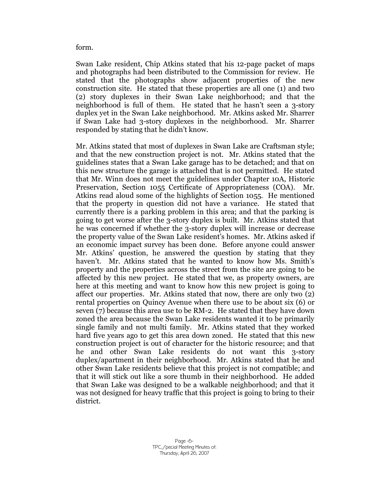form.

Swan Lake resident, Chip Atkins stated that his 12-page packet of maps and photographs had been distributed to the Commission for review. He stated that the photographs show adjacent properties of the new construction site. He stated that these properties are all one (1) and two (2) story duplexes in their Swan Lake neighborhood; and that the neighborhood is full of them. He stated that he hasn't seen a 3-story duplex yet in the Swan Lake neighborhood. Mr. Atkins asked Mr. Sharrer if Swan Lake had 3-story duplexes in the neighborhood. Mr. Sharrer responded by stating that he didn't know.

Mr. Atkins stated that most of duplexes in Swan Lake are Craftsman style; and that the new construction project is not. Mr. Atkins stated that the guidelines states that a Swan Lake garage has to be detached; and that on this new structure the garage is attached that is not permitted. He stated that Mr. Winn does not meet the guidelines under Chapter 10A, Historic Preservation, Section 1055 Certificate of Appropriateness (COA). Mr. Atkins read aloud some of the highlights of Section 1055. He mentioned that the property in question did not have a variance. He stated that currently there is a parking problem in this area; and that the parking is going to get worse after the 3-story duplex is built. Mr. Atkins stated that he was concerned if whether the 3-story duplex will increase or decrease the property value of the Swan Lake resident's homes. Mr. Atkins asked if an economic impact survey has been done. Before anyone could answer Mr. Atkins' question, he answered the question by stating that they haven't. Mr. Atkins stated that he wanted to know how Ms. Smith's property and the properties across the street from the site are going to be affected by this new project. He stated that we, as property owners, are here at this meeting and want to know how this new project is going to affect our properties. Mr. Atkins stated that now, there are only two (2) rental properties on Quincy Avenue when there use to be about six (6) or seven (7) because this area use to be RM-2. He stated that they have down zoned the area because the Swan Lake residents wanted it to be primarily single family and not multi family. Mr. Atkins stated that they worked hard five years ago to get this area down zoned. He stated that this new construction project is out of character for the historic resource; and that he and other Swan Lake residents do not want this 3-story duplex/apartment in their neighborhood. Mr. Atkins stated that he and other Swan Lake residents believe that this project is not compatible; and that it will stick out like a sore thumb in their neighborhood. He added that Swan Lake was designed to be a walkable neighborhood; and that it was not designed for heavy traffic that this project is going to bring to their district.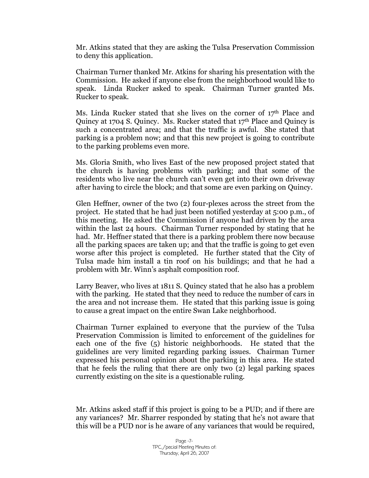Mr. Atkins stated that they are asking the Tulsa Preservation Commission to deny this application.

Chairman Turner thanked Mr. Atkins for sharing his presentation with the Commission. He asked if anyone else from the neighborhood would like to speak. Linda Rucker asked to speak. Chairman Turner granted Ms. Rucker to speak.

Ms. Linda Rucker stated that she lives on the corner of  $17<sup>th</sup>$  Place and Quincy at 1704 S. Quincy. Ms. Rucker stated that 17<sup>th</sup> Place and Quincy is such a concentrated area; and that the traffic is awful. She stated that parking is a problem now; and that this new project is going to contribute to the parking problems even more.

Ms. Gloria Smith, who lives East of the new proposed project stated that the church is having problems with parking; and that some of the residents who live near the church can't even get into their own driveway after having to circle the block; and that some are even parking on Quincy.

Glen Heffner, owner of the two (2) four-plexes across the street from the project. He stated that he had just been notified yesterday at 5:00 p.m., of this meeting. He asked the Commission if anyone had driven by the area within the last 24 hours. Chairman Turner responded by stating that he had. Mr. Heffner stated that there is a parking problem there now because all the parking spaces are taken up; and that the traffic is going to get even worse after this project is completed. He further stated that the City of Tulsa made him install a tin roof on his buildings; and that he had a problem with Mr. Winn's asphalt composition roof.

Larry Beaver, who lives at 1811 S. Quincy stated that he also has a problem with the parking. He stated that they need to reduce the number of cars in the area and not increase them. He stated that this parking issue is going to cause a great impact on the entire Swan Lake neighborhood.

Chairman Turner explained to everyone that the purview of the Tulsa Preservation Commission is limited to enforcement of the guidelines for each one of the five (5) historic neighborhoods. He stated that the guidelines are very limited regarding parking issues. Chairman Turner expressed his personal opinion about the parking in this area. He stated that he feels the ruling that there are only two (2) legal parking spaces currently existing on the site is a questionable ruling.

Mr. Atkins asked staff if this project is going to be a PUD; and if there are any variances? Mr. Sharrer responded by stating that he's not aware that this will be a PUD nor is he aware of any variances that would be required,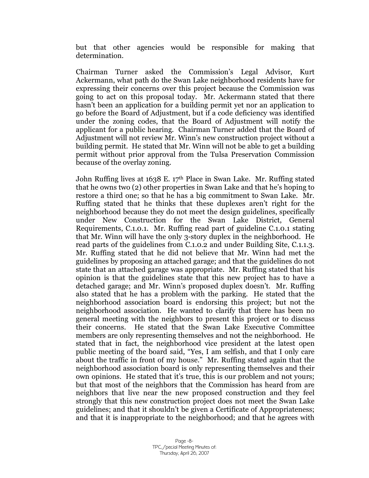but that other agencies would be responsible for making that determination.

Chairman Turner asked the Commission's Legal Advisor, Kurt Ackermann, what path do the Swan Lake neighborhood residents have for expressing their concerns over this project because the Commission was going to act on this proposal today. Mr. Ackermann stated that there hasn't been an application for a building permit yet nor an application to go before the Board of Adjustment, but if a code deficiency was identified under the zoning codes, that the Board of Adjustment will notify the applicant for a public hearing. Chairman Turner added that the Board of Adjustment will not review Mr. Winn's new construction project without a building permit. He stated that Mr. Winn will not be able to get a building permit without prior approval from the Tulsa Preservation Commission because of the overlay zoning.

John Ruffing lives at 1638 E. 17<sup>th</sup> Place in Swan Lake. Mr. Ruffing stated that he owns two (2) other properties in Swan Lake and that he's hoping to restore a third one; so that he has a big commitment to Swan Lake. Mr. Ruffing stated that he thinks that these duplexes aren't right for the neighborhood because they do not meet the design guidelines, specifically under New Construction for the Swan Lake District, General Requirements, C.1.0.1. Mr. Ruffing read part of guideline C.1.0.1 stating that Mr. Winn will have the only 3-story duplex in the neighborhood. He read parts of the guidelines from C.1.0.2 and under Building Site, C.1.1.3. Mr. Ruffing stated that he did not believe that Mr. Winn had met the guidelines by proposing an attached garage; and that the guidelines do not state that an attached garage was appropriate. Mr. Ruffing stated that his opinion is that the guidelines state that this new project has to have a detached garage; and Mr. Winn's proposed duplex doesn't. Mr. Ruffing also stated that he has a problem with the parking. He stated that the neighborhood association board is endorsing this project; but not the neighborhood association. He wanted to clarify that there has been no general meeting with the neighbors to present this project or to discuss their concerns. He stated that the Swan Lake Executive Committee members are only representing themselves and not the neighborhood. He stated that in fact, the neighborhood vice president at the latest open public meeting of the board said, "Yes, I am selfish, and that I only care about the traffic in front of my house." Mr. Ruffing stated again that the neighborhood association board is only representing themselves and their own opinions. He stated that it's true, this is our problem and not yours; but that most of the neighbors that the Commission has heard from are neighbors that live near the new proposed construction and they feel strongly that this new construction project does not meet the Swan Lake guidelines; and that it shouldn't be given a Certificate of Appropriateness; and that it is inappropriate to the neighborhood; and that he agrees with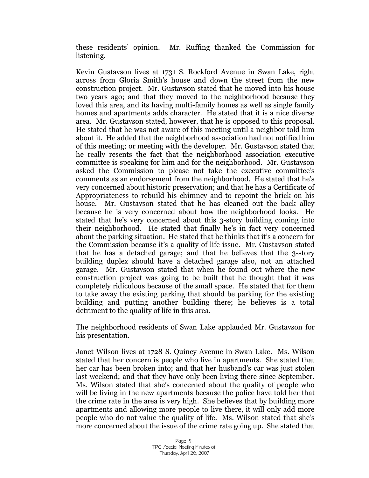these residents' opinion. Mr. Ruffing thanked the Commission for listening.

Kevin Gustavson lives at 1731 S. Rockford Avenue in Swan Lake, right across from Gloria Smith's house and down the street from the new construction project. Mr. Gustavson stated that he moved into his house two years ago; and that they moved to the neighborhood because they loved this area, and its having multi-family homes as well as single family homes and apartments adds character. He stated that it is a nice diverse area. Mr. Gustavson stated, however, that he is opposed to this proposal. He stated that he was not aware of this meeting until a neighbor told him about it. He added that the neighborhood association had not notified him of this meeting; or meeting with the developer. Mr. Gustavson stated that he really resents the fact that the neighborhood association executive committee is speaking for him and for the neighborhood. Mr. Gustavson asked the Commission to please not take the executive committee's comments as an endorsement from the neighborhood. He stated that he's very concerned about historic preservation; and that he has a Certificate of Appropriateness to rebuild his chimney and to repoint the brick on his house. Mr. Gustavson stated that he has cleaned out the back alley because he is very concerned about how the neighborhood looks. He stated that he's very concerned about this 3-story building coming into their neighborhood. He stated that finally he's in fact very concerned about the parking situation. He stated that he thinks that it's a concern for the Commission because it's a quality of life issue. Mr. Gustavson stated that he has a detached garage; and that he believes that the 3-story building duplex should have a detached garage also, not an attached garage. Mr. Gustavson stated that when he found out where the new construction project was going to be built that he thought that it was completely ridiculous because of the small space. He stated that for them to take away the existing parking that should be parking for the existing building and putting another building there; he believes is a total detriment to the quality of life in this area.

The neighborhood residents of Swan Lake applauded Mr. Gustavson for his presentation.

Janet Wilson lives at 1728 S. Quincy Avenue in Swan Lake. Ms. Wilson stated that her concern is people who live in apartments. She stated that her car has been broken into; and that her husband's car was just stolen last weekend; and that they have only been living there since September. Ms. Wilson stated that she's concerned about the quality of people who will be living in the new apartments because the police have told her that the crime rate in the area is very high. She believes that by building more apartments and allowing more people to live there, it will only add more people who do not value the quality of life. Ms. Wilson stated that she's more concerned about the issue of the crime rate going up. She stated that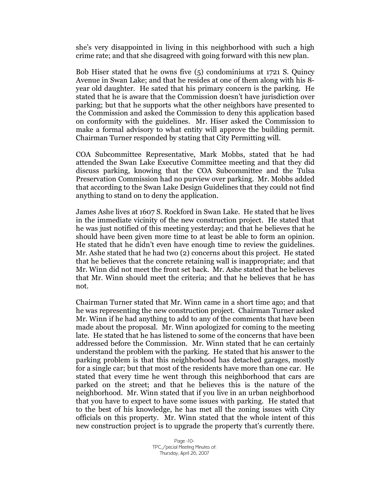she's very disappointed in living in this neighborhood with such a high crime rate; and that she disagreed with going forward with this new plan.

Bob Hiser stated that he owns five (5) condominiums at 1721 S. Quincy Avenue in Swan Lake; and that he resides at one of them along with his 8 year old daughter. He sated that his primary concern is the parking. He stated that he is aware that the Commission doesn't have jurisdiction over parking; but that he supports what the other neighbors have presented to the Commission and asked the Commission to deny this application based on conformity with the guidelines. Mr. Hiser asked the Commission to make a formal advisory to what entity will approve the building permit. Chairman Turner responded by stating that City Permitting will.

COA Subcommittee Representative, Mark Mobbs, stated that he had attended the Swan Lake Executive Committee meeting and that they did discuss parking, knowing that the COA Subcommittee and the Tulsa Preservation Commission had no purview over parking. Mr. Mobbs added that according to the Swan Lake Design Guidelines that they could not find anything to stand on to deny the application.

James Ashe lives at 1607 S. Rockford in Swan Lake. He stated that he lives in the immediate vicinity of the new construction project. He stated that he was just notified of this meeting yesterday; and that he believes that he should have been given more time to at least be able to form an opinion. He stated that he didn't even have enough time to review the guidelines. Mr. Ashe stated that he had two (2) concerns about this project. He stated that he believes that the concrete retaining wall is inappropriate; and that Mr. Winn did not meet the front set back. Mr. Ashe stated that he believes that Mr. Winn should meet the criteria; and that he believes that he has not.

Chairman Turner stated that Mr. Winn came in a short time ago; and that he was representing the new construction project. Chairman Turner asked Mr. Winn if he had anything to add to any of the comments that have been made about the proposal. Mr. Winn apologized for coming to the meeting late. He stated that he has listened to some of the concerns that have been addressed before the Commission. Mr. Winn stated that he can certainly understand the problem with the parking. He stated that his answer to the parking problem is that this neighborhood has detached garages, mostly for a single car; but that most of the residents have more than one car. He stated that every time he went through this neighborhood that cars are parked on the street; and that he believes this is the nature of the neighborhood. Mr. Winn stated that if you live in an urban neighborhood that you have to expect to have some issues with parking. He stated that to the best of his knowledge, he has met all the zoning issues with City officials on this property. Mr. Winn stated that the whole intent of this new construction project is to upgrade the property that's currently there.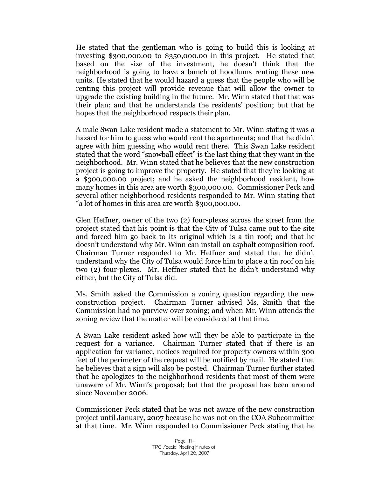He stated that the gentleman who is going to build this is looking at investing \$300,000.00 to \$350,000.00 in this project. He stated that based on the size of the investment, he doesn't think that the neighborhood is going to have a bunch of hoodlums renting these new units. He stated that he would hazard a guess that the people who will be renting this project will provide revenue that will allow the owner to upgrade the existing building in the future. Mr. Winn stated that that was their plan; and that he understands the residents' position; but that he hopes that the neighborhood respects their plan.

A male Swan Lake resident made a statement to Mr. Winn stating it was a hazard for him to guess who would rent the apartments; and that he didn't agree with him guessing who would rent there. This Swan Lake resident stated that the word "snowball effect" is the last thing that they want in the neighborhood. Mr. Winn stated that he believes that the new construction project is going to improve the property. He stated that they're looking at a \$300,000.00 project; and he asked the neighborhood resident, how many homes in this area are worth \$300,000.00. Commissioner Peck and several other neighborhood residents responded to Mr. Winn stating that "a lot of homes in this area are worth \$300,000.00.

Glen Heffner, owner of the two (2) four-plexes across the street from the project stated that his point is that the City of Tulsa came out to the site and forced him go back to its original which is a tin roof; and that he doesn't understand why Mr. Winn can install an asphalt composition roof. Chairman Turner responded to Mr. Heffner and stated that he didn't understand why the City of Tulsa would force him to place a tin roof on his two (2) four-plexes. Mr. Heffner stated that he didn't understand why either, but the City of Tulsa did.

Ms. Smith asked the Commission a zoning question regarding the new construction project. Chairman Turner advised Ms. Smith that the Commission had no purview over zoning; and when Mr. Winn attends the zoning review that the matter will be considered at that time.

A Swan Lake resident asked how will they be able to participate in the request for a variance. Chairman Turner stated that if there is an application for variance, notices required for property owners within 300 feet of the perimeter of the request will be notified by mail. He stated that he believes that a sign will also be posted. Chairman Turner further stated that he apologizes to the neighborhood residents that most of them were unaware of Mr. Winn's proposal; but that the proposal has been around since November 2006.

Commissioner Peck stated that he was not aware of the new construction project until January, 2007 because he was not on the COA Subcommittee at that time. Mr. Winn responded to Commissioner Peck stating that he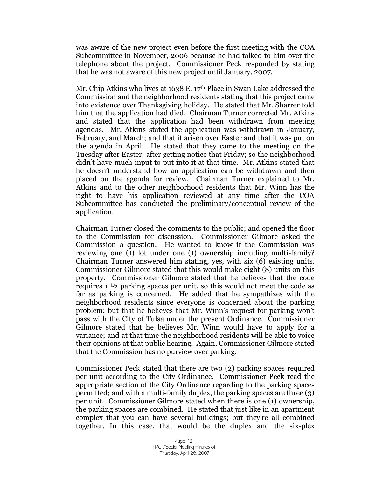was aware of the new project even before the first meeting with the COA Subcommittee in November, 2006 because he had talked to him over the telephone about the project. Commissioner Peck responded by stating that he was not aware of this new project until January, 2007.

Mr. Chip Atkins who lives at 1638 E. 17<sup>th</sup> Place in Swan Lake addressed the Commission and the neighborhood residents stating that this project came into existence over Thanksgiving holiday. He stated that Mr. Sharrer told him that the application had died. Chairman Turner corrected Mr. Atkins and stated that the application had been withdrawn from meeting agendas. Mr. Atkins stated the application was withdrawn in January, February, and March; and that it arisen over Easter and that it was put on the agenda in April. He stated that they came to the meeting on the Tuesday after Easter; after getting notice that Friday; so the neighborhood didn't have much input to put into it at that time. Mr. Atkins stated that he doesn't understand how an application can be withdrawn and then placed on the agenda for review. Chairman Turner explained to Mr. Atkins and to the other neighborhood residents that Mr. Winn has the right to have his application reviewed at any time after the COA Subcommittee has conducted the preliminary/conceptual review of the application.

Chairman Turner closed the comments to the public; and opened the floor to the Commission for discussion. Commissioner Gilmore asked the Commission a question. He wanted to know if the Commission was reviewing one (1) lot under one (1) ownership including multi-family? Chairman Turner answered him stating, yes, with six (6) existing units. Commissioner Gilmore stated that this would make eight (8) units on this property. Commissioner Gilmore stated that he believes that the code requires 1 ½ parking spaces per unit, so this would not meet the code as far as parking is concerned. He added that he sympathizes with the neighborhood residents since everyone is concerned about the parking problem; but that he believes that Mr. Winn's request for parking won't pass with the City of Tulsa under the present Ordinance. Commissioner Gilmore stated that he believes Mr. Winn would have to apply for a variance; and at that time the neighborhood residents will be able to voice their opinions at that public hearing. Again, Commissioner Gilmore stated that the Commission has no purview over parking.

Commissioner Peck stated that there are two (2) parking spaces required per unit according to the City Ordinance. Commissioner Peck read the appropriate section of the City Ordinance regarding to the parking spaces permitted; and with a multi-family duplex, the parking spaces are three (3) per unit. Commissioner Gilmore stated when there is one (1) ownership, the parking spaces are combined. He stated that just like in an apartment complex that you can have several buildings; but they're all combined together. In this case, that would be the duplex and the six-plex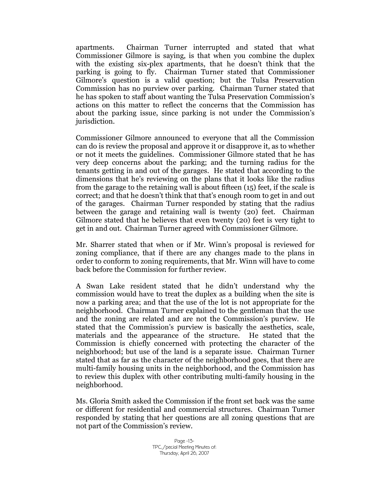apartments. Chairman Turner interrupted and stated that what Commissioner Gilmore is saying, is that when you combine the duplex with the existing six-plex apartments, that he doesn't think that the parking is going to fly. Chairman Turner stated that Commissioner Gilmore's question is a valid question; but the Tulsa Preservation Commission has no purview over parking. Chairman Turner stated that he has spoken to staff about wanting the Tulsa Preservation Commission's actions on this matter to reflect the concerns that the Commission has about the parking issue, since parking is not under the Commission's jurisdiction.

Commissioner Gilmore announced to everyone that all the Commission can do is review the proposal and approve it or disapprove it, as to whether or not it meets the guidelines. Commissioner Gilmore stated that he has very deep concerns about the parking; and the turning radius for the tenants getting in and out of the garages. He stated that according to the dimensions that he's reviewing on the plans that it looks like the radius from the garage to the retaining wall is about fifteen (15) feet, if the scale is correct; and that he doesn't think that that's enough room to get in and out of the garages. Chairman Turner responded by stating that the radius between the garage and retaining wall is twenty (20) feet. Chairman Gilmore stated that he believes that even twenty (20) feet is very tight to get in and out. Chairman Turner agreed with Commissioner Gilmore.

Mr. Sharrer stated that when or if Mr. Winn's proposal is reviewed for zoning compliance, that if there are any changes made to the plans in order to conform to zoning requirements, that Mr. Winn will have to come back before the Commission for further review.

A Swan Lake resident stated that he didn't understand why the commission would have to treat the duplex as a building when the site is now a parking area; and that the use of the lot is not appropriate for the neighborhood. Chairman Turner explained to the gentleman that the use and the zoning are related and are not the Commission's purview. He stated that the Commission's purview is basically the aesthetics, scale, materials and the appearance of the structure. He stated that the Commission is chiefly concerned with protecting the character of the neighborhood; but use of the land is a separate issue. Chairman Turner stated that as far as the character of the neighborhood goes, that there are multi-family housing units in the neighborhood, and the Commission has to review this duplex with other contributing multi-family housing in the neighborhood.

Ms. Gloria Smith asked the Commission if the front set back was the same or different for residential and commercial structures. Chairman Turner responded by stating that her questions are all zoning questions that are not part of the Commission's review.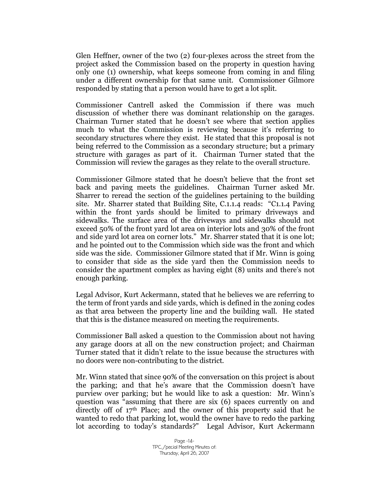Glen Heffner, owner of the two (2) four-plexes across the street from the project asked the Commission based on the property in question having only one (1) ownership, what keeps someone from coming in and filing under a different ownership for that same unit. Commissioner Gilmore responded by stating that a person would have to get a lot split.

Commissioner Cantrell asked the Commission if there was much discussion of whether there was dominant relationship on the garages. Chairman Turner stated that he doesn't see where that section applies much to what the Commission is reviewing because it's referring to secondary structures where they exist. He stated that this proposal is not being referred to the Commission as a secondary structure; but a primary structure with garages as part of it. Chairman Turner stated that the Commission will review the garages as they relate to the overall structure.

Commissioner Gilmore stated that he doesn't believe that the front set back and paving meets the guidelines. Chairman Turner asked Mr. Sharrer to reread the section of the guidelines pertaining to the building site. Mr. Sharrer stated that Building Site, C.1.1.4 reads: "C1.1.4 Paving within the front yards should be limited to primary driveways and sidewalks. The surface area of the driveways and sidewalks should not exceed 50% of the front yard lot area on interior lots and 30% of the front and side yard lot area on corner lots." Mr. Sharrer stated that it is one lot; and he pointed out to the Commission which side was the front and which side was the side. Commissioner Gilmore stated that if Mr. Winn is going to consider that side as the side yard then the Commission needs to consider the apartment complex as having eight (8) units and there's not enough parking.

Legal Advisor, Kurt Ackermann, stated that he believes we are referring to the term of front yards and side yards, which is defined in the zoning codes as that area between the property line and the building wall. He stated that this is the distance measured on meeting the requirements.

Commissioner Ball asked a question to the Commission about not having any garage doors at all on the new construction project; and Chairman Turner stated that it didn't relate to the issue because the structures with no doors were non-contributing to the district.

Mr. Winn stated that since 90% of the conversation on this project is about the parking; and that he's aware that the Commission doesn't have purview over parking; but he would like to ask a question: Mr. Winn's question was "assuming that there are six (6) spaces currently on and directly off of  $17<sup>th</sup>$  Place; and the owner of this property said that he wanted to redo that parking lot, would the owner have to redo the parking lot according to today's standards?" Legal Advisor, Kurt Ackermann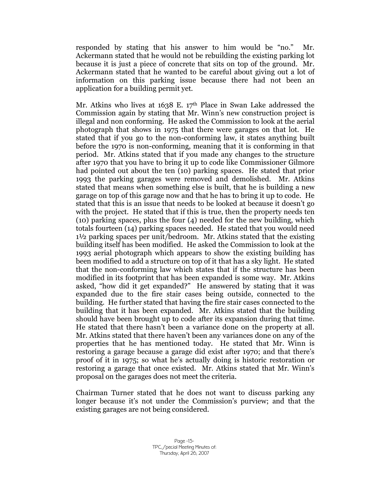responded by stating that his answer to him would be "no." Mr. Ackermann stated that he would not be rebuilding the existing parking lot because it is just a piece of concrete that sits on top of the ground. Mr. Ackermann stated that he wanted to be careful about giving out a lot of information on this parking issue because there had not been an application for a building permit yet.

Mr. Atkins who lives at 1638 E. 17th Place in Swan Lake addressed the Commission again by stating that Mr. Winn's new construction project is illegal and non conforming. He asked the Commission to look at the aerial photograph that shows in 1975 that there were garages on that lot. He stated that if you go to the non-conforming law, it states anything built before the 1970 is non-conforming, meaning that it is conforming in that period. Mr. Atkins stated that if you made any changes to the structure after 1970 that you have to bring it up to code like Commissioner Gilmore had pointed out about the ten (10) parking spaces. He stated that prior 1993 the parking garages were removed and demolished. Mr. Atkins stated that means when something else is built, that he is building a new garage on top of this garage now and that he has to bring it up to code. He stated that this is an issue that needs to be looked at because it doesn't go with the project. He stated that if this is true, then the property needs ten (10) parking spaces, plus the four (4) needed for the new building, which totals fourteen (14) parking spaces needed. He stated that you would need 1½ parking spaces per unit/bedroom. Mr. Atkins stated that the existing building itself has been modified. He asked the Commission to look at the 1993 aerial photograph which appears to show the existing building has been modified to add a structure on top of it that has a sky light. He stated that the non-conforming law which states that if the structure has been modified in its footprint that has been expanded is some way. Mr. Atkins asked, "how did it get expanded?" He answered by stating that it was expanded due to the fire stair cases being outside, connected to the building. He further stated that having the fire stair cases connected to the building that it has been expanded. Mr. Atkins stated that the building should have been brought up to code after its expansion during that time. He stated that there hasn't been a variance done on the property at all. Mr. Atkins stated that there haven't been any variances done on any of the properties that he has mentioned today. He stated that Mr. Winn is restoring a garage because a garage did exist after 1970; and that there's proof of it in 1975; so what he's actually doing is historic restoration or restoring a garage that once existed. Mr. Atkins stated that Mr. Winn's proposal on the garages does not meet the criteria.

Chairman Turner stated that he does not want to discuss parking any longer because it's not under the Commission's purview; and that the existing garages are not being considered.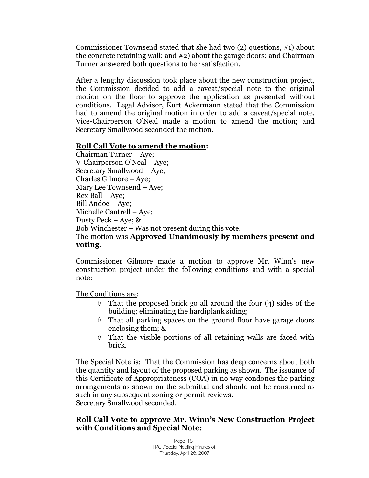Commissioner Townsend stated that she had two (2) questions, #1) about the concrete retaining wall; and #2) about the garage doors; and Chairman Turner answered both questions to her satisfaction.

After a lengthy discussion took place about the new construction project, the Commission decided to add a caveat/special note to the original motion on the floor to approve the application as presented without conditions. Legal Advisor, Kurt Ackermann stated that the Commission had to amend the original motion in order to add a caveat/special note. Vice-Chairperson O'Neal made a motion to amend the motion; and Secretary Smallwood seconded the motion.

#### **Roll Call Vote to amend the motion:**

Chairman Turner – Aye; V-Chairperson O'Neal – Aye; Secretary Smallwood – Aye; Charles Gilmore – Aye; Mary Lee Townsend – Aye; Rex Ball – Aye; Bill Andoe – Aye; Michelle Cantrell –Aye; Dusty Peck – Aye; & Bob Winchester – Was not present during this vote. The motion was **Approved Unanimously by members present and voting.**

Commissioner Gilmore made a motion to approve Mr. Winn's new construction project under the following conditions and with a special note:

The Conditions are:

- $\Diamond$  That the proposed brick go all around the four (4) sides of the building; eliminating the hardiplank siding;
- $\Diamond$  That all parking spaces on the ground floor have garage doors enclosing them; &
- $\Diamond$  That the visible portions of all retaining walls are faced with brick.

The Special Note is: That the Commission has deep concerns about both the quantity and layout of the proposed parking as shown. The issuance of this Certificate of Appropriateness (COA) in no way condones the parking arrangements as shown on the submittal and should not be construed as such in any subsequent zoning or permit reviews. Secretary Smallwood seconded.

## **Roll Call Vote to approve Mr. Winn's New Construction Project with Conditions and Special Note:**

Page -16- TPC / pecial Meeting Minutes of: Thursday, April 26, 2007